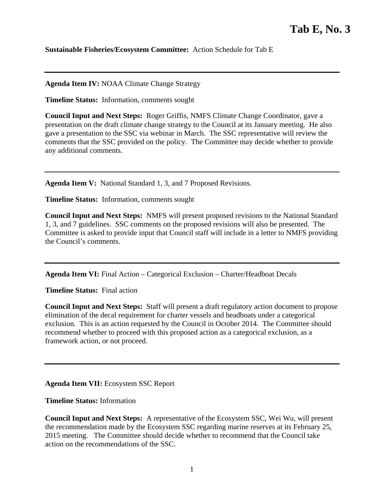**Sustainable Fisheries/Ecosystem Committee:** Action Schedule for Tab E

## **Agenda Item IV:** NOAA Climate Change Strategy

**Timeline Status:** Information, comments sought

**Council Input and Next Steps:** Roger Griffis, NMFS Climate Change Coordinator, gave a presentation on the draft climate change strategy to the Council at its January meeting. He also gave a presentation to the SSC via webinar in March. The SSC representative will review the comments that the SSC provided on the policy. The Committee may decide whether to provide any additional comments.

**Agenda Item V:** National Standard 1, 3, and 7 Proposed Revisions.

**Timeline Status:** Information, comments sought

**Council Input and Next Steps:** NMFS will present proposed revisions to the National Standard 1, 3, and 7 guidelines. SSC comments on the proposed revisions will also be presented. The Committee is asked to provide input that Council staff will include in a letter to NMFS providing the Council's comments.

**Agenda Item VI:** Final Action – Categorical Exclusion – Charter/Headboat Decals

**Timeline Status:** Final action

**Council Input and Next Steps:** Staff will present a draft regulatory action document to propose elimination of the decal requirement for charter vessels and headboats under a categorical exclusion. This is an action requested by the Council in October 2014. The Committee should recommend whether to proceed with this proposed action as a categorical exclusion, as a framework action, or not proceed.

**Agenda Item VII:** Ecosystem SSC Report

**Timeline Status:** Information

**Council Input and Next Steps:** A representative of the Ecosystem SSC, Wei Wu, will present the recommendation made by the Ecosystem SSC regarding marine reserves at its February 25, 2015 meeting. The Committee should decide whether to recommend that the Council take action on the recommendations of the SSC.